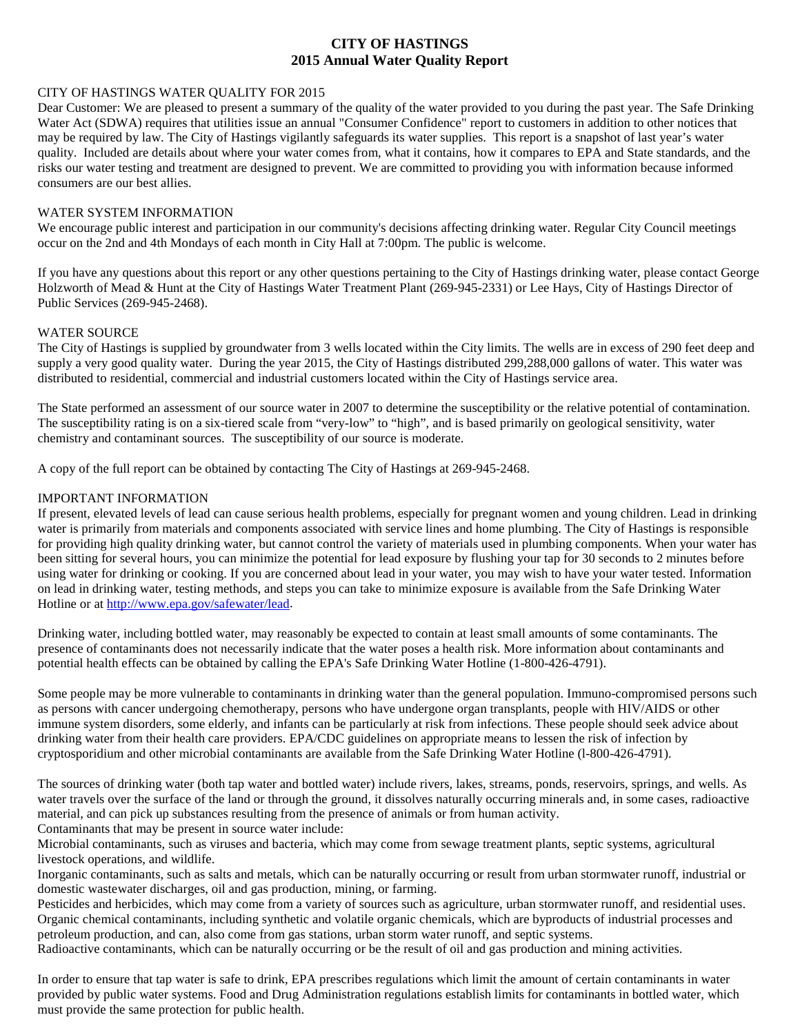# **CITY OF HASTINGS 2015 Annual Water Quality Report**

#### CITY OF HASTINGS WATER QUALITY FOR 2015

Dear Customer: We are pleased to present a summary of the quality of the water provided to you during the past year. The Safe Drinking Water Act (SDWA) requires that utilities issue an annual "Consumer Confidence" report to customers in addition to other notices that may be required by law. The City of Hastings vigilantly safeguards its water supplies. This report is a snapshot of last year's water quality. Included are details about where your water comes from, what it contains, how it compares to EPA and State standards, and the risks our water testing and treatment are designed to prevent. We are committed to providing you with information because informed consumers are our best allies.

#### WATER SYSTEM INFORMATION

We encourage public interest and participation in our community's decisions affecting drinking water. Regular City Council meetings occur on the 2nd and 4th Mondays of each month in City Hall at 7:00pm. The public is welcome.

If you have any questions about this report or any other questions pertaining to the City of Hastings drinking water, please contact George Holzworth of Mead & Hunt at the City of Hastings Water Treatment Plant (269-945-2331) or Lee Hays, City of Hastings Director of Public Services (269-945-2468).

#### WATER SOURCE

The City of Hastings is supplied by groundwater from 3 wells located within the City limits. The wells are in excess of 290 feet deep and supply a very good quality water. During the year 2015, the City of Hastings distributed 299,288,000 gallons of water. This water was distributed to residential, commercial and industrial customers located within the City of Hastings service area.

The State performed an assessment of our source water in 2007 to determine the susceptibility or the relative potential of contamination. The susceptibility rating is on a six-tiered scale from "very-low" to "high", and is based primarily on geological sensitivity, water chemistry and contaminant sources. The susceptibility of our source is moderate.

A copy of the full report can be obtained by contacting The City of Hastings at 269-945-2468.

## IMPORTANT INFORMATION

If present, elevated levels of lead can cause serious health problems, especially for pregnant women and young children. Lead in drinking water is primarily from materials and components associated with service lines and home plumbing. The City of Hastings is responsible for providing high quality drinking water, but cannot control the variety of materials used in plumbing components. When your water has been sitting for several hours, you can minimize the potential for lead exposure by flushing your tap for 30 seconds to 2 minutes before using water for drinking or cooking. If you are concerned about lead in your water, you may wish to have your water tested. Information on lead in drinking water, testing methods, and steps you can take to minimize exposure is available from the Safe Drinking Water Hotline or at [http://www.epa.gov/safewater/lead.](http://www.epa.gov/safewater/lead)

Drinking water, including bottled water, may reasonably be expected to contain at least small amounts of some contaminants. The presence of contaminants does not necessarily indicate that the water poses a health risk. More information about contaminants and potential health effects can be obtained by calling the EPA's Safe Drinking Water Hotline (1-800-426-4791).

Some people may be more vulnerable to contaminants in drinking water than the general population. Immuno-compromised persons such as persons with cancer undergoing chemotherapy, persons who have undergone organ transplants, people with HIV/AIDS or other immune system disorders, some elderly, and infants can be particularly at risk from infections. These people should seek advice about drinking water from their health care providers. EPA/CDC guidelines on appropriate means to lessen the risk of infection by cryptosporidium and other microbial contaminants are available from the Safe Drinking Water Hotline (l-800-426-4791).

The sources of drinking water (both tap water and bottled water) include rivers, lakes, streams, ponds, reservoirs, springs, and wells. As water travels over the surface of the land or through the ground, it dissolves naturally occurring minerals and, in some cases, radioactive material, and can pick up substances resulting from the presence of animals or from human activity. Contaminants that may be present in source water include:

Microbial contaminants, such as viruses and bacteria, which may come from sewage treatment plants, septic systems, agricultural livestock operations, and wildlife.

Inorganic contaminants, such as salts and metals, which can be naturally occurring or result from urban stormwater runoff, industrial or domestic wastewater discharges, oil and gas production, mining, or farming.

Pesticides and herbicides, which may come from a variety of sources such as agriculture, urban stormwater runoff, and residential uses. Organic chemical contaminants, including synthetic and volatile organic chemicals, which are byproducts of industrial processes and petroleum production, and can, also come from gas stations, urban storm water runoff, and septic systems.

Radioactive contaminants, which can be naturally occurring or be the result of oil and gas production and mining activities.

In order to ensure that tap water is safe to drink, EPA prescribes regulations which limit the amount of certain contaminants in water provided by public water systems. Food and Drug Administration regulations establish limits for contaminants in bottled water, which must provide the same protection for public health.